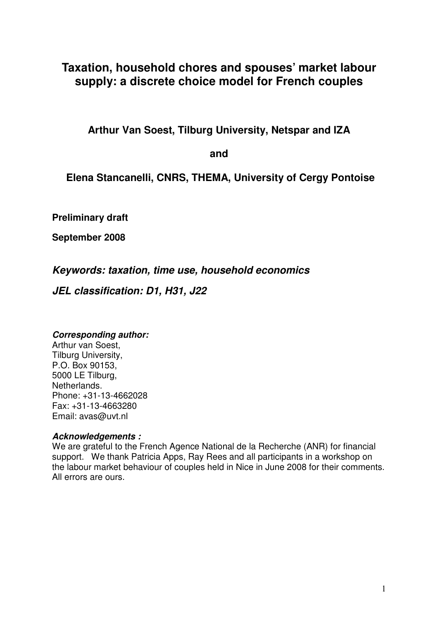# **Taxation, household chores and spouses' market labour supply: a discrete choice model for French couples**

**Arthur Van Soest, Tilburg University, Netspar and IZA** 

**and** 

 **Elena Stancanelli, CNRS, THEMA, University of Cergy Pontoise** 

**Preliminary draft** 

**September 2008** 

**Keywords: taxation, time use, household economics** 

**JEL classification: D1, H31, J22** 

# **Corresponding author:**

Arthur van Soest, Tilburg University, P.O. Box 90153, 5000 LE Tilburg, Netherlands. Phone: +31-13-4662028 Fax: +31-13-4663280 Email: avas@uvt.nl

# **Acknowledgements :**

We are grateful to the French Agence National de la Recherche (ANR) for financial support. We thank Patricia Apps, Ray Rees and all participants in a workshop on the labour market behaviour of couples held in Nice in June 2008 for their comments. All errors are ours.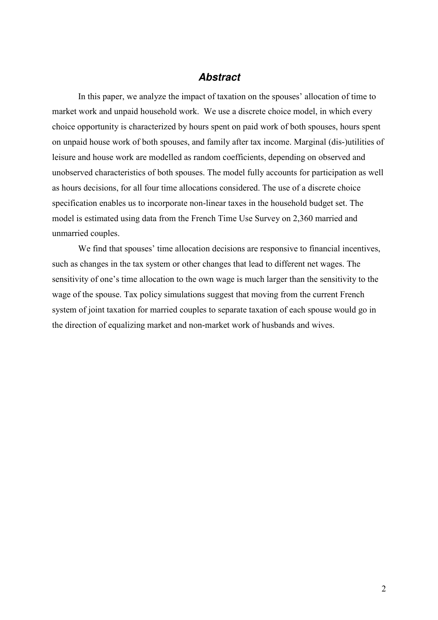## **Abstract**

In this paper, we analyze the impact of taxation on the spouses' allocation of time to market work and unpaid household work. We use a discrete choice model, in which every choice opportunity is characterized by hours spent on paid work of both spouses, hours spent on unpaid house work of both spouses, and family after tax income. Marginal (dis-)utilities of leisure and house work are modelled as random coefficients, depending on observed and unobserved characteristics of both spouses. The model fully accounts for participation as well as hours decisions, for all four time allocations considered. The use of a discrete choice specification enables us to incorporate non-linear taxes in the household budget set. The model is estimated using data from the French Time Use Survey on 2,360 married and unmarried couples.

We find that spouses' time allocation decisions are responsive to financial incentives, such as changes in the tax system or other changes that lead to different net wages. The sensitivity of one's time allocation to the own wage is much larger than the sensitivity to the wage of the spouse. Tax policy simulations suggest that moving from the current French system of joint taxation for married couples to separate taxation of each spouse would go in the direction of equalizing market and non-market work of husbands and wives.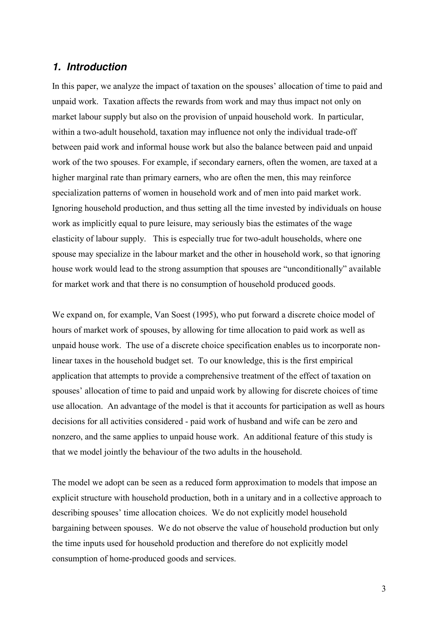### **1. Introduction**

In this paper, we analyze the impact of taxation on the spouses' allocation of time to paid and unpaid work. Taxation affects the rewards from work and may thus impact not only on market labour supply but also on the provision of unpaid household work. In particular, within a two-adult household, taxation may influence not only the individual trade-off between paid work and informal house work but also the balance between paid and unpaid work of the two spouses. For example, if secondary earners, often the women, are taxed at a higher marginal rate than primary earners, who are often the men, this may reinforce specialization patterns of women in household work and of men into paid market work. Ignoring household production, and thus setting all the time invested by individuals on house work as implicitly equal to pure leisure, may seriously bias the estimates of the wage elasticity of labour supply. This is especially true for two-adult households, where one spouse may specialize in the labour market and the other in household work, so that ignoring house work would lead to the strong assumption that spouses are "unconditionally" available for market work and that there is no consumption of household produced goods.

We expand on, for example, Van Soest (1995), who put forward a discrete choice model of hours of market work of spouses, by allowing for time allocation to paid work as well as unpaid house work. The use of a discrete choice specification enables us to incorporate nonlinear taxes in the household budget set. To our knowledge, this is the first empirical application that attempts to provide a comprehensive treatment of the effect of taxation on spouses' allocation of time to paid and unpaid work by allowing for discrete choices of time use allocation. An advantage of the model is that it accounts for participation as well as hours decisions for all activities considered - paid work of husband and wife can be zero and nonzero, and the same applies to unpaid house work. An additional feature of this study is that we model jointly the behaviour of the two adults in the household.

The model we adopt can be seen as a reduced form approximation to models that impose an explicit structure with household production, both in a unitary and in a collective approach to describing spouses' time allocation choices. We do not explicitly model household bargaining between spouses. We do not observe the value of household production but only the time inputs used for household production and therefore do not explicitly model consumption of home-produced goods and services.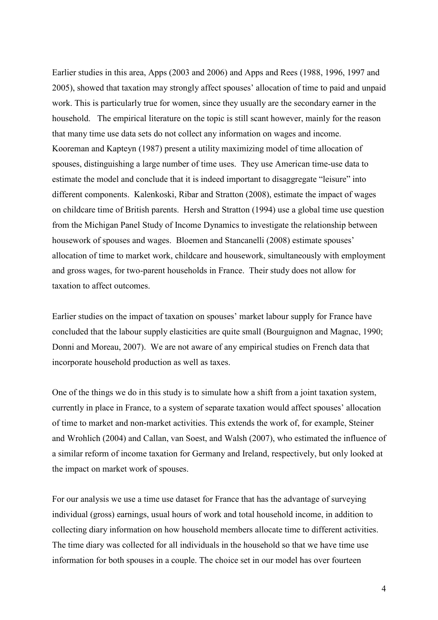Earlier studies in this area, Apps (2003 and 2006) and Apps and Rees (1988, 1996, 1997 and 2005), showed that taxation may strongly affect spouses' allocation of time to paid and unpaid work. This is particularly true for women, since they usually are the secondary earner in the household. The empirical literature on the topic is still scant however, mainly for the reason that many time use data sets do not collect any information on wages and income. Kooreman and Kapteyn (1987) present a utility maximizing model of time allocation of spouses, distinguishing a large number of time uses. They use American time-use data to estimate the model and conclude that it is indeed important to disaggregate "leisure" into different components. Kalenkoski, Ribar and Stratton (2008), estimate the impact of wages on childcare time of British parents. Hersh and Stratton (1994) use a global time use question from the Michigan Panel Study of Income Dynamics to investigate the relationship between housework of spouses and wages. Bloemen and Stancanelli (2008) estimate spouses' allocation of time to market work, childcare and housework, simultaneously with employment and gross wages, for two-parent households in France. Their study does not allow for taxation to affect outcomes.

Earlier studies on the impact of taxation on spouses' market labour supply for France have concluded that the labour supply elasticities are quite small (Bourguignon and Magnac, 1990; Donni and Moreau, 2007). We are not aware of any empirical studies on French data that incorporate household production as well as taxes.

One of the things we do in this study is to simulate how a shift from a joint taxation system, currently in place in France, to a system of separate taxation would affect spouses' allocation of time to market and non-market activities. This extends the work of, for example, Steiner and Wrohlich (2004) and Callan, van Soest, and Walsh (2007), who estimated the influence of a similar reform of income taxation for Germany and Ireland, respectively, but only looked at the impact on market work of spouses.

For our analysis we use a time use dataset for France that has the advantage of surveying individual (gross) earnings, usual hours of work and total household income, in addition to collecting diary information on how household members allocate time to different activities. The time diary was collected for all individuals in the household so that we have time use information for both spouses in a couple. The choice set in our model has over fourteen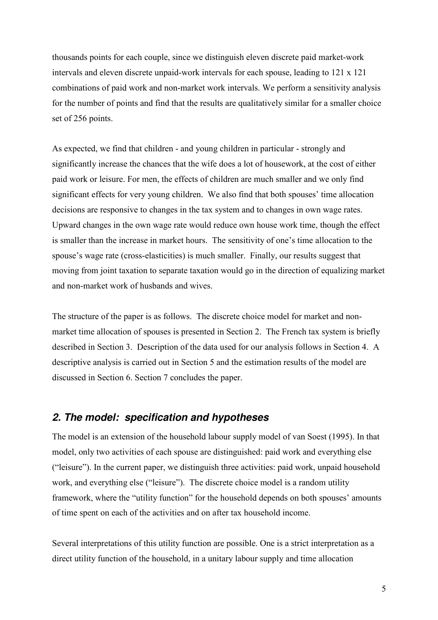thousands points for each couple, since we distinguish eleven discrete paid market-work intervals and eleven discrete unpaid-work intervals for each spouse, leading to 121 x 121 combinations of paid work and non-market work intervals. We perform a sensitivity analysis for the number of points and find that the results are qualitatively similar for a smaller choice set of 256 points.

As expected, we find that children - and young children in particular - strongly and significantly increase the chances that the wife does a lot of housework, at the cost of either paid work or leisure. For men, the effects of children are much smaller and we only find significant effects for very young children. We also find that both spouses' time allocation decisions are responsive to changes in the tax system and to changes in own wage rates. Upward changes in the own wage rate would reduce own house work time, though the effect is smaller than the increase in market hours. The sensitivity of one's time allocation to the spouse's wage rate (cross-elasticities) is much smaller. Finally, our results suggest that moving from joint taxation to separate taxation would go in the direction of equalizing market and non-market work of husbands and wives.

The structure of the paper is as follows. The discrete choice model for market and nonmarket time allocation of spouses is presented in Section 2. The French tax system is briefly described in Section 3. Description of the data used for our analysis follows in Section 4. A descriptive analysis is carried out in Section 5 and the estimation results of the model are discussed in Section 6. Section 7 concludes the paper.

# **2. The model: specification and hypotheses**

The model is an extension of the household labour supply model of van Soest (1995). In that model, only two activities of each spouse are distinguished: paid work and everything else ("leisure"). In the current paper, we distinguish three activities: paid work, unpaid household work, and everything else ("leisure"). The discrete choice model is a random utility framework, where the "utility function" for the household depends on both spouses' amounts of time spent on each of the activities and on after tax household income.

Several interpretations of this utility function are possible. One is a strict interpretation as a direct utility function of the household, in a unitary labour supply and time allocation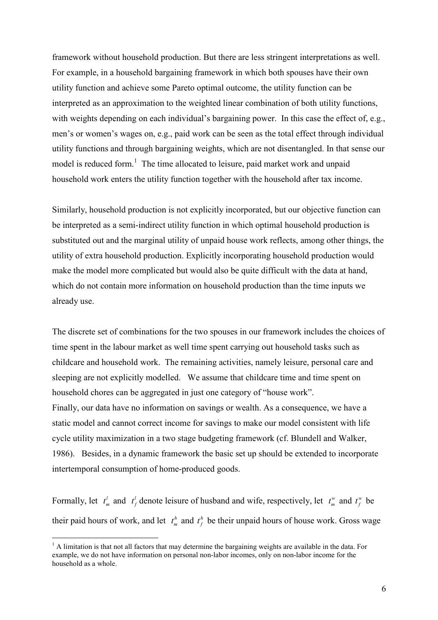framework without household production. But there are less stringent interpretations as well. For example, in a household bargaining framework in which both spouses have their own utility function and achieve some Pareto optimal outcome, the utility function can be interpreted as an approximation to the weighted linear combination of both utility functions, with weights depending on each individual's bargaining power. In this case the effect of, e.g., men's or women's wages on, e.g., paid work can be seen as the total effect through individual utility functions and through bargaining weights, which are not disentangled. In that sense our model is reduced form.<sup>1</sup> The time allocated to leisure, paid market work and unpaid household work enters the utility function together with the household after tax income.

Similarly, household production is not explicitly incorporated, but our objective function can be interpreted as a semi-indirect utility function in which optimal household production is substituted out and the marginal utility of unpaid house work reflects, among other things, the utility of extra household production. Explicitly incorporating household production would make the model more complicated but would also be quite difficult with the data at hand, which do not contain more information on household production than the time inputs we already use.

The discrete set of combinations for the two spouses in our framework includes the choices of time spent in the labour market as well time spent carrying out household tasks such as childcare and household work. The remaining activities, namely leisure, personal care and sleeping are not explicitly modelled. We assume that childcare time and time spent on household chores can be aggregated in just one category of "house work". Finally, our data have no information on savings or wealth. As a consequence, we have a static model and cannot correct income for savings to make our model consistent with life cycle utility maximization in a two stage budgeting framework (cf. Blundell and Walker, 1986). Besides, in a dynamic framework the basic set up should be extended to incorporate intertemporal consumption of home-produced goods.

Formally, let  $t_m^l$  and  $t_f^l$  denote leisure of husband and wife, respectively, let  $t_m^w$  and  $t_f^w$  be their paid hours of work, and let  $t_m^h$  and  $t_f^h$  be their unpaid hours of house work. Gross wage

<sup>&</sup>lt;sup>1</sup> A limitation is that not all factors that may determine the bargaining weights are available in the data. For example, we do not have information on personal non-labor incomes, only on non-labor income for the household as a whole.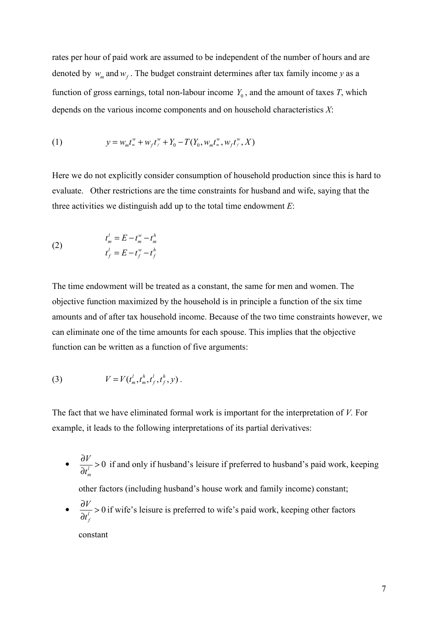rates per hour of paid work are assumed to be independent of the number of hours and are denoted by  $w_m$  and  $w_f$ . The budget constraint determines after tax family income y as a function of gross earnings, total non-labour income  $Y_0$ , and the amount of taxes T, which depends on the various income components and on household characteristics  $X$ :

(1) 
$$
y = w_m t_m^w + w_f t_f^w + Y_0 - T(Y_0, w_m t_m^w, w_f t_f^w, X)
$$

Here we do not explicitly consider consumption of household production since this is hard to evaluate. Other restrictions are the time constraints for husband and wife, saying that the three activities we distinguish add up to the total time endowment  $E$ :

(2) 
$$
t_m^l = E - t_m^w - t_m^h
$$

$$
t_f^l = E - t_f^w - t_f^h
$$

The time endowment will be treated as a constant, the same for men and women. The objective function maximized by the household is in principle a function of the six time amounts and of after tax household income. Because of the two time constraints however, we can eliminate one of the time amounts for each spouse. This implies that the objective function can be written as a function of five arguments:

(3) 
$$
V = V(t_m^l, t_m^h, t_f^l, t_f^h, y).
$$

The fact that we have eliminated formal work is important for the interpretation of V. For example, it leads to the following interpretations of its partial derivatives:

- $\bullet$   $\frac{0!}{\lambda t^{l}}$ m V t  $\frac{\partial V}{\partial t} > 0$ ∂ if and only if husband's leisure if preferred to husband's paid work, keeping other factors (including husband's house work and family income) constant;
- $\frac{0!}{\partial t^{l}} > 0$ f V t  $\frac{\partial V}{\partial t}$ ∂ if wife's leisure is preferred to wife's paid work, keeping other factors

constant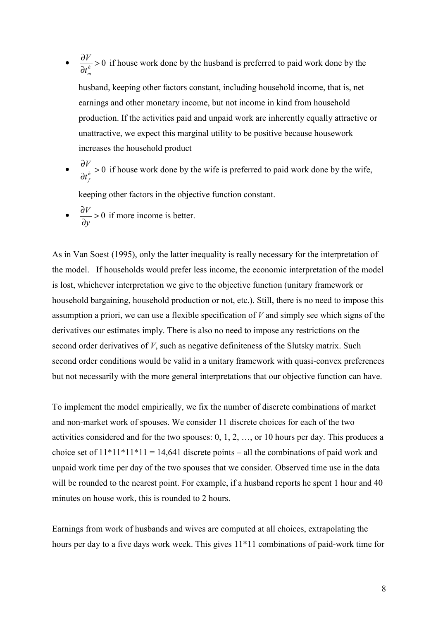- $\bullet \quad \frac{\partial V}{\partial t^h} > 0$ m t  $\frac{\partial V}{\partial h}$ ∂ if house work done by the husband is preferred to paid work done by the husband, keeping other factors constant, including household income, that is, net earnings and other monetary income, but not income in kind from household production. If the activities paid and unpaid work are inherently equally attractive or unattractive, we expect this marginal utility to be positive because housework increases the household product
- $\bullet \quad \frac{\partial f}{\partial t^h} > 0$ f V t  $\frac{\partial V}{\partial h}$ ∂ if house work done by the wife is preferred to paid work done by the wife,

keeping other factors in the objective function constant.

 $\frac{\partial V}{\partial y} > 0$ y  $\frac{\partial V}{\partial z}$ ∂ if more income is better.

As in Van Soest (1995), only the latter inequality is really necessary for the interpretation of the model. If households would prefer less income, the economic interpretation of the model is lost, whichever interpretation we give to the objective function (unitary framework or household bargaining, household production or not, etc.). Still, there is no need to impose this assumption a priori, we can use a flexible specification of  $V$  and simply see which signs of the derivatives our estimates imply. There is also no need to impose any restrictions on the second order derivatives of V, such as negative definiteness of the Slutsky matrix. Such second order conditions would be valid in a unitary framework with quasi-convex preferences but not necessarily with the more general interpretations that our objective function can have.

To implement the model empirically, we fix the number of discrete combinations of market and non-market work of spouses. We consider 11 discrete choices for each of the two activities considered and for the two spouses: 0, 1, 2, …, or 10 hours per day. This produces a choice set of  $11*11*11 = 14,641$  discrete points – all the combinations of paid work and unpaid work time per day of the two spouses that we consider. Observed time use in the data will be rounded to the nearest point. For example, if a husband reports he spent 1 hour and 40 minutes on house work, this is rounded to 2 hours.

Earnings from work of husbands and wives are computed at all choices, extrapolating the hours per day to a five days work week. This gives 11\*11 combinations of paid-work time for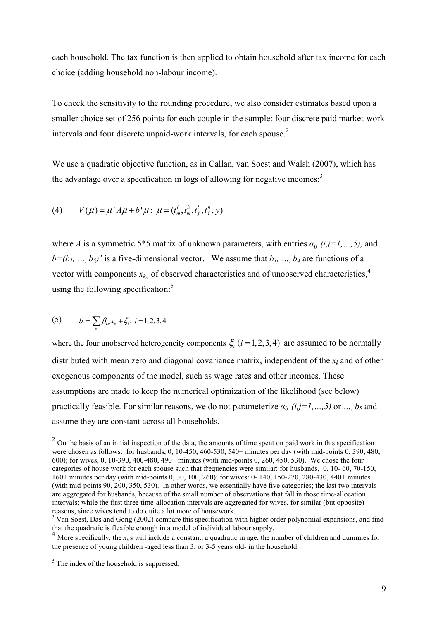each household. The tax function is then applied to obtain household after tax income for each choice (adding household non-labour income).

To check the sensitivity to the rounding procedure, we also consider estimates based upon a smaller choice set of 256 points for each couple in the sample: four discrete paid market-work intervals and four discrete unpaid-work intervals, for each spouse.<sup>2</sup>

We use a quadratic objective function, as in Callan, van Soest and Walsh (2007), which has the advantage over a specification in logs of allowing for negative incomes: $3$ 

(4) 
$$
V(\mu) = \mu' A \mu + b' \mu; \ \mu = (t_m^l, t_m^h, t_f^l, t_f^h, y)
$$

where A is a symmetric 5\*5 matrix of unknown parameters, with entries  $a_{ii}$  (i,j=1,...,5), and  $b=(b_1, ..., b_5)$ ' is a five-dimensional vector. We assume that  $b_1, ..., b_4$  are functions of a vector with components  $x_{k_n}$ , of observed characteristics and of unobserved characteristics,<sup>4</sup> using the following specification:<sup>5</sup>

(5) 
$$
b_i = \sum_k \beta_{ik} x_k + \xi_i; \ i = 1, 2, 3, 4
$$

where the four unobserved heterogeneity components  $\xi$ ,  $(i = 1, 2, 3, 4)$  are assumed to be normally distributed with mean zero and diagonal covariance matrix, independent of the  $x_k$  and of other exogenous components of the model, such as wage rates and other incomes. These assumptions are made to keep the numerical optimization of the likelihood (see below) practically feasible. For similar reasons, we do not parameterize  $\alpha_{ij}$  (*i*,*j*=*l*, ..., *5*) or ..., *b*<sub>5</sub> and assume they are constant across all households.

<sup>&</sup>lt;sup>2</sup> On the basis of an initial inspection of the data, the amounts of time spent on paid work in this specification were chosen as follows: for husbands, 0, 10-450, 460-530, 540+ minutes per day (with mid-points 0, 390, 480, 600); for wives, 0, 10-390, 400-480, 490+ minutes (with mid-points 0, 260, 450, 530). We chose the four categories of house work for each spouse such that frequencies were similar: for husbands, 0, 10- 60, 70-150, 160+ minutes per day (with mid-points 0, 30, 100, 260); for wives: 0- 140, 150-270, 280-430, 440+ minutes (with mid-points 90, 200, 350, 530). In other words, we essentially have five categories; the last two intervals are aggregated for husbands, because of the small number of observations that fall in those time-allocation intervals; while the first three time-allocation intervals are aggregated for wives, for similar (but opposite) reasons, since wives tend to do quite a lot more of housework.

<sup>&</sup>lt;sup>3</sup> Van Soest, Das and Gong (2002) compare this specification with higher order polynomial expansions, and find that the quadratic is flexible enough in a model of individual labour supply.

<sup>&</sup>lt;sup>4</sup> More specifically, the  $x_k$  s will include a constant, a quadratic in age, the number of children and dummies for the presence of young children -aged less than 3, or 3-5 years old- in the household.

<sup>&</sup>lt;sup>5</sup> The index of the household is suppressed.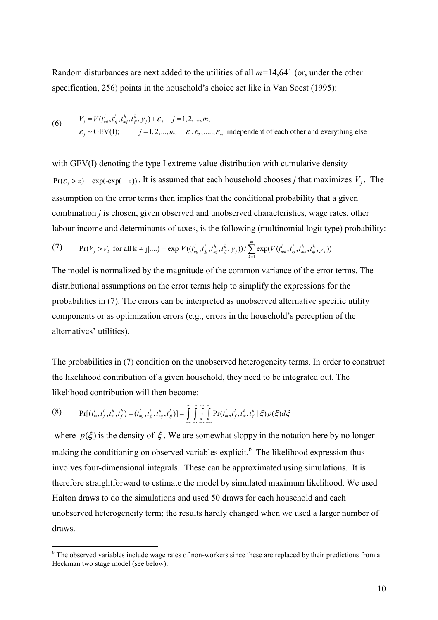Random disturbances are next added to the utilities of all  $m=14,641$  (or, under the other specification, 256) points in the household's choice set like in Van Soest (1995):

(6) 
$$
V_j = V(t'_{mj}, t'_{jj}, t^h_{mj}, t^h_{jj}, y_j) + \varepsilon_j \quad j = 1, 2, ..., m;
$$

$$
\varepsilon_j \sim \text{GEV(I)}; \qquad j = 1, 2, ..., m; \qquad \varepsilon_1, \varepsilon_2, ..., \varepsilon_m \text{ independent of each other and everything else}
$$

with GEV(I) denoting the type I extreme value distribution with cumulative density  $Pr(\varepsilon_j > z) = exp(-exp(-z))$ . It is assumed that each household chooses *j* that maximizes  $V_j$ . The assumption on the error terms then implies that the conditional probability that a given combination *j* is chosen, given observed and unobserved characteristics, wage rates, other labour income and determinants of taxes, is the following (multinomial logit type) probability:

(7) 
$$
\Pr(V_j > V_k \text{ for all } k \neq j | ....) = \exp V((t_{mj}^l, t_{jj}^l, t_{mj}^h, t_{jj}^h, y_j)) / \sum_{k=1}^m \exp(V(t_{mk}^l, t_{kj}^l, t_{mk}^h, t_{kj}^h, y_k))
$$

The model is normalized by the magnitude of the common variance of the error terms. The distributional assumptions on the error terms help to simplify the expressions for the probabilities in (7). The errors can be interpreted as unobserved alternative specific utility components or as optimization errors (e.g., errors in the household's perception of the alternatives' utilities).

The probabilities in (7) condition on the unobserved heterogeneity terms. In order to construct the likelihood contribution of a given household, they need to be integrated out. The likelihood contribution will then become:

(8) 
$$
\Pr[(t_m^l, t_f^l, t_m^h, t_f^h) = (t_{mj}^l, t_f^l, t_{mj}^h, t_f^h)] = \int_{-\infty}^{\infty} \int_{-\infty}^{\infty} \int_{-\infty}^{\infty} \Pr(t_m^l, t_f^l, t_m^h, t_f^h \mid \xi) p(\xi) d\xi
$$

 $\overline{a}$ 

where  $p(\xi)$  is the density of  $\xi$ . We are somewhat sloppy in the notation here by no longer making the conditioning on observed variables explicit.<sup>6</sup> The likelihood expression thus involves four-dimensional integrals. These can be approximated using simulations. It is therefore straightforward to estimate the model by simulated maximum likelihood. We used Halton draws to do the simulations and used 50 draws for each household and each unobserved heterogeneity term; the results hardly changed when we used a larger number of draws.

<sup>&</sup>lt;sup>6</sup> The observed variables include wage rates of non-workers since these are replaced by their predictions from a Heckman two stage model (see below).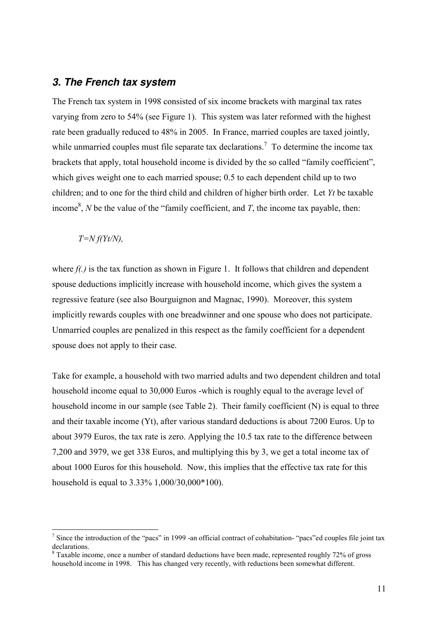#### **3. The French tax system**

The French tax system in 1998 consisted of six income brackets with marginal tax rates varying from zero to 54% (see Figure 1). This system was later reformed with the highest rate been gradually reduced to 48% in 2005. In France, married couples are taxed jointly, while unmarried couples must file separate tax declarations.<sup>7</sup> To determine the income tax brackets that apply, total household income is divided by the so called "family coefficient", which gives weight one to each married spouse; 0.5 to each dependent child up to two children; and to one for the third child and children of higher birth order. Let Yt be taxable income<sup>8</sup>, N be the value of the "family coefficient, and T, the income tax payable, then:

#### $T=N f(Yt/N)$ ,

 $\overline{a}$ 

where  $f(.)$  is the tax function as shown in Figure 1. It follows that children and dependent spouse deductions implicitly increase with household income, which gives the system a regressive feature (see also Bourguignon and Magnac, 1990). Moreover, this system implicitly rewards couples with one breadwinner and one spouse who does not participate. Unmarried couples are penalized in this respect as the family coefficient for a dependent spouse does not apply to their case.

Take for example, a household with two married adults and two dependent children and total household income equal to 30,000 Euros -which is roughly equal to the average level of household income in our sample (see Table 2). Their family coefficient (N) is equal to three and their taxable income (Yt), after various standard deductions is about 7200 Euros. Up to about 3979 Euros, the tax rate is zero. Applying the 10.5 tax rate to the difference between 7,200 and 3979, we get 338 Euros, and multiplying this by 3, we get a total income tax of about 1000 Euros for this household. Now, this implies that the effective tax rate for this household is equal to 3.33% 1,000/30,000\*100).

<sup>&</sup>lt;sup>7</sup> Since the introduction of the "pacs" in 1999 -an official contract of cohabitation- "pacs" ed couples file joint tax declarations.

<sup>&</sup>lt;sup>8</sup> Taxable income, once a number of standard deductions have been made, represented roughly 72% of gross household income in 1998. This has changed very recently, with reductions been somewhat different.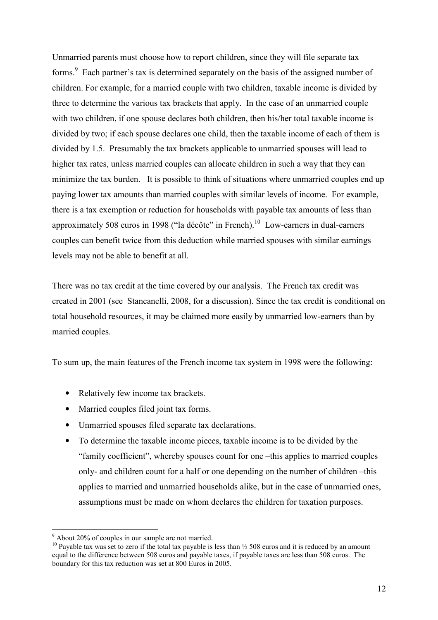Unmarried parents must choose how to report children, since they will file separate tax forms.<sup>9</sup> Each partner's tax is determined separately on the basis of the assigned number of children. For example, for a married couple with two children, taxable income is divided by three to determine the various tax brackets that apply. In the case of an unmarried couple with two children, if one spouse declares both children, then his/her total taxable income is divided by two; if each spouse declares one child, then the taxable income of each of them is divided by 1.5. Presumably the tax brackets applicable to unmarried spouses will lead to higher tax rates, unless married couples can allocate children in such a way that they can minimize the tax burden. It is possible to think of situations where unmarried couples end up paying lower tax amounts than married couples with similar levels of income. For example, there is a tax exemption or reduction for households with payable tax amounts of less than approximately 508 euros in 1998 ("la décôte" in French).<sup>10</sup> Low-earners in dual-earners couples can benefit twice from this deduction while married spouses with similar earnings levels may not be able to benefit at all.

There was no tax credit at the time covered by our analysis. The French tax credit was created in 2001 (see Stancanelli, 2008, for a discussion). Since the tax credit is conditional on total household resources, it may be claimed more easily by unmarried low-earners than by married couples.

To sum up, the main features of the French income tax system in 1998 were the following:

- Relatively few income tax brackets.
- Married couples filed joint tax forms.
- Unmarried spouses filed separate tax declarations.
- To determine the taxable income pieces, taxable income is to be divided by the "family coefficient", whereby spouses count for one –this applies to married couples only- and children count for a half or one depending on the number of children –this applies to married and unmarried households alike, but in the case of unmarried ones, assumptions must be made on whom declares the children for taxation purposes.

 9 About 20% of couples in our sample are not married.

<sup>&</sup>lt;sup>10</sup> Payable tax was set to zero if the total tax payable is less than  $\frac{1}{2}$  508 euros and it is reduced by an amount equal to the difference between 508 euros and payable taxes, if payable taxes are less than 508 euros. The boundary for this tax reduction was set at 800 Euros in 2005.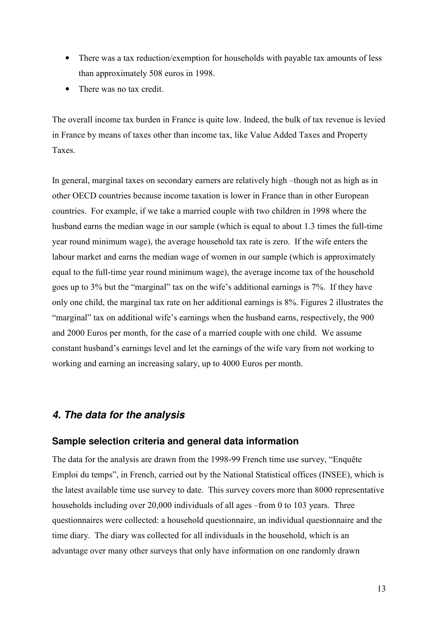- There was a tax reduction/exemption for households with payable tax amounts of less than approximately 508 euros in 1998.
- There was no tax credit.

The overall income tax burden in France is quite low. Indeed, the bulk of tax revenue is levied in France by means of taxes other than income tax, like Value Added Taxes and Property Taxes.

In general, marginal taxes on secondary earners are relatively high –though not as high as in other OECD countries because income taxation is lower in France than in other European countries. For example, if we take a married couple with two children in 1998 where the husband earns the median wage in our sample (which is equal to about 1.3 times the full-time year round minimum wage), the average household tax rate is zero. If the wife enters the labour market and earns the median wage of women in our sample (which is approximately equal to the full-time year round minimum wage), the average income tax of the household goes up to 3% but the "marginal" tax on the wife's additional earnings is 7%. If they have only one child, the marginal tax rate on her additional earnings is 8%. Figures 2 illustrates the "marginal" tax on additional wife's earnings when the husband earns, respectively, the 900 and 2000 Euros per month, for the case of a married couple with one child. We assume constant husband's earnings level and let the earnings of the wife vary from not working to working and earning an increasing salary, up to 4000 Euros per month.

# **4. The data for the analysis**

#### **Sample selection criteria and general data information**

The data for the analysis are drawn from the 1998-99 French time use survey, "Enquête Emploi du temps", in French, carried out by the National Statistical offices (INSEE), which is the latest available time use survey to date. This survey covers more than 8000 representative households including over 20,000 individuals of all ages –from 0 to 103 years. Three questionnaires were collected: a household questionnaire, an individual questionnaire and the time diary. The diary was collected for all individuals in the household, which is an advantage over many other surveys that only have information on one randomly drawn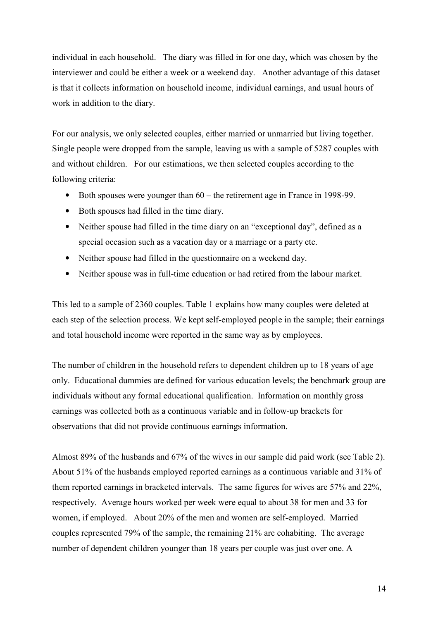individual in each household. The diary was filled in for one day, which was chosen by the interviewer and could be either a week or a weekend day. Another advantage of this dataset is that it collects information on household income, individual earnings, and usual hours of work in addition to the diary.

For our analysis, we only selected couples, either married or unmarried but living together. Single people were dropped from the sample, leaving us with a sample of 5287 couples with and without children. For our estimations, we then selected couples according to the following criteria:

- Both spouses were younger than  $60$  the retirement age in France in 1998-99.
- Both spouses had filled in the time diary.
- Neither spouse had filled in the time diary on an "exceptional day", defined as a special occasion such as a vacation day or a marriage or a party etc.
- Neither spouse had filled in the questionnaire on a weekend day.
- Neither spouse was in full-time education or had retired from the labour market.

This led to a sample of 2360 couples. Table 1 explains how many couples were deleted at each step of the selection process. We kept self-employed people in the sample; their earnings and total household income were reported in the same way as by employees.

The number of children in the household refers to dependent children up to 18 years of age only. Educational dummies are defined for various education levels; the benchmark group are individuals without any formal educational qualification. Information on monthly gross earnings was collected both as a continuous variable and in follow-up brackets for observations that did not provide continuous earnings information.

Almost 89% of the husbands and 67% of the wives in our sample did paid work (see Table 2). About 51% of the husbands employed reported earnings as a continuous variable and 31% of them reported earnings in bracketed intervals. The same figures for wives are 57% and 22%, respectively. Average hours worked per week were equal to about 38 for men and 33 for women, if employed. About 20% of the men and women are self-employed. Married couples represented 79% of the sample, the remaining 21% are cohabiting. The average number of dependent children younger than 18 years per couple was just over one. A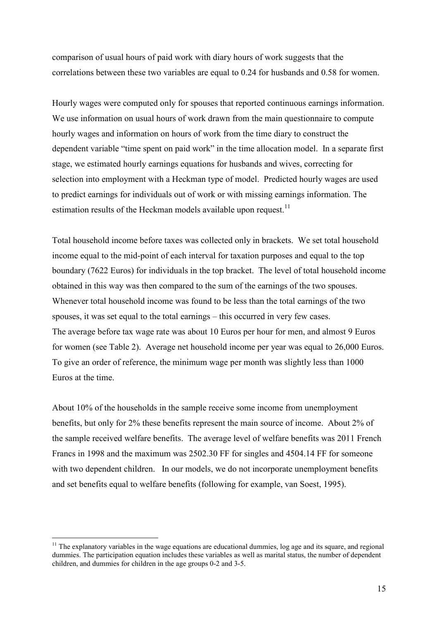comparison of usual hours of paid work with diary hours of work suggests that the correlations between these two variables are equal to 0.24 for husbands and 0.58 for women.

Hourly wages were computed only for spouses that reported continuous earnings information. We use information on usual hours of work drawn from the main questionnaire to compute hourly wages and information on hours of work from the time diary to construct the dependent variable "time spent on paid work" in the time allocation model. In a separate first stage, we estimated hourly earnings equations for husbands and wives, correcting for selection into employment with a Heckman type of model. Predicted hourly wages are used to predict earnings for individuals out of work or with missing earnings information. The estimation results of the Heckman models available upon request.<sup>11</sup>

Total household income before taxes was collected only in brackets. We set total household income equal to the mid-point of each interval for taxation purposes and equal to the top boundary (7622 Euros) for individuals in the top bracket. The level of total household income obtained in this way was then compared to the sum of the earnings of the two spouses. Whenever total household income was found to be less than the total earnings of the two spouses, it was set equal to the total earnings – this occurred in very few cases. The average before tax wage rate was about 10 Euros per hour for men, and almost 9 Euros for women (see Table 2). Average net household income per year was equal to 26,000 Euros. To give an order of reference, the minimum wage per month was slightly less than 1000 Euros at the time.

About 10% of the households in the sample receive some income from unemployment benefits, but only for 2% these benefits represent the main source of income. About 2% of the sample received welfare benefits. The average level of welfare benefits was 2011 French Francs in 1998 and the maximum was 2502.30 FF for singles and 4504.14 FF for someone with two dependent children. In our models, we do not incorporate unemployment benefits and set benefits equal to welfare benefits (following for example, van Soest, 1995).

 $\overline{a}$ 

 $11$  The explanatory variables in the wage equations are educational dummies, log age and its square, and regional dummies. The participation equation includes these variables as well as marital status, the number of dependent children, and dummies for children in the age groups 0-2 and 3-5.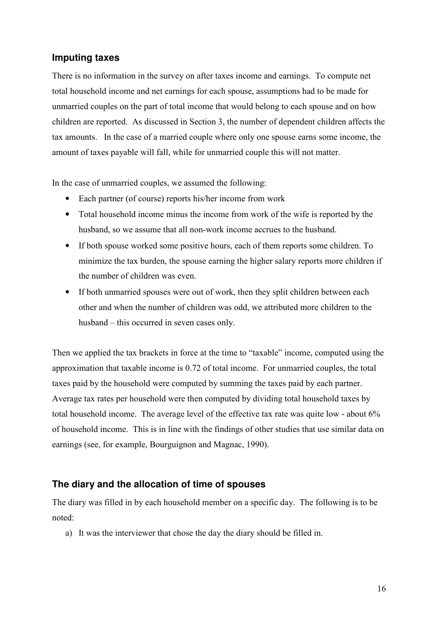# **Imputing taxes**

There is no information in the survey on after taxes income and earnings. To compute net total household income and net earnings for each spouse, assumptions had to be made for unmarried couples on the part of total income that would belong to each spouse and on how children are reported. As discussed in Section 3, the number of dependent children affects the tax amounts. In the case of a married couple where only one spouse earns some income, the amount of taxes payable will fall, while for unmarried couple this will not matter.

In the case of unmarried couples, we assumed the following:

- Each partner (of course) reports his/her income from work
- Total household income minus the income from work of the wife is reported by the husband, so we assume that all non-work income accrues to the husband.
- If both spouse worked some positive hours, each of them reports some children. To minimize the tax burden, the spouse earning the higher salary reports more children if the number of children was even.
- If both unmarried spouses were out of work, then they split children between each other and when the number of children was odd, we attributed more children to the husband – this occurred in seven cases only.

Then we applied the tax brackets in force at the time to "taxable" income, computed using the approximation that taxable income is 0.72 of total income. For unmarried couples, the total taxes paid by the household were computed by summing the taxes paid by each partner. Average tax rates per household were then computed by dividing total household taxes by total household income. The average level of the effective tax rate was quite low - about 6% of household income. This is in line with the findings of other studies that use similar data on earnings (see, for example, Bourguignon and Magnac, 1990).

#### **The diary and the allocation of time of spouses**

The diary was filled in by each household member on a specific day. The following is to be noted:

a) It was the interviewer that chose the day the diary should be filled in.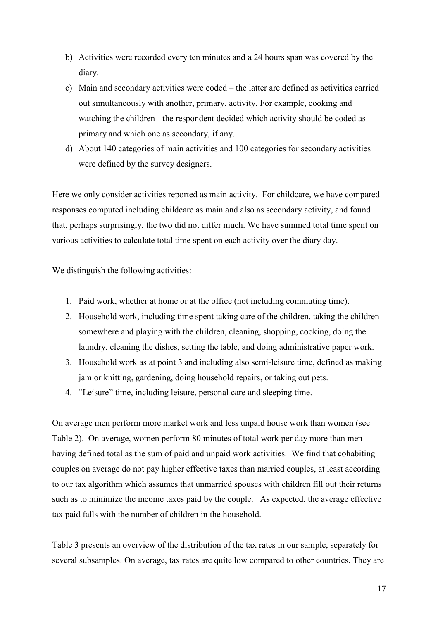- b) Activities were recorded every ten minutes and a 24 hours span was covered by the diary.
- c) Main and secondary activities were coded the latter are defined as activities carried out simultaneously with another, primary, activity. For example, cooking and watching the children - the respondent decided which activity should be coded as primary and which one as secondary, if any.
- d) About 140 categories of main activities and 100 categories for secondary activities were defined by the survey designers.

Here we only consider activities reported as main activity. For childcare, we have compared responses computed including childcare as main and also as secondary activity, and found that, perhaps surprisingly, the two did not differ much. We have summed total time spent on various activities to calculate total time spent on each activity over the diary day.

We distinguish the following activities:

- 1. Paid work, whether at home or at the office (not including commuting time).
- 2. Household work, including time spent taking care of the children, taking the children somewhere and playing with the children, cleaning, shopping, cooking, doing the laundry, cleaning the dishes, setting the table, and doing administrative paper work.
- 3. Household work as at point 3 and including also semi-leisure time, defined as making jam or knitting, gardening, doing household repairs, or taking out pets.
- 4. "Leisure" time, including leisure, personal care and sleeping time.

On average men perform more market work and less unpaid house work than women (see Table 2). On average, women perform 80 minutes of total work per day more than men having defined total as the sum of paid and unpaid work activities. We find that cohabiting couples on average do not pay higher effective taxes than married couples, at least according to our tax algorithm which assumes that unmarried spouses with children fill out their returns such as to minimize the income taxes paid by the couple. As expected, the average effective tax paid falls with the number of children in the household.

Table 3 presents an overview of the distribution of the tax rates in our sample, separately for several subsamples. On average, tax rates are quite low compared to other countries. They are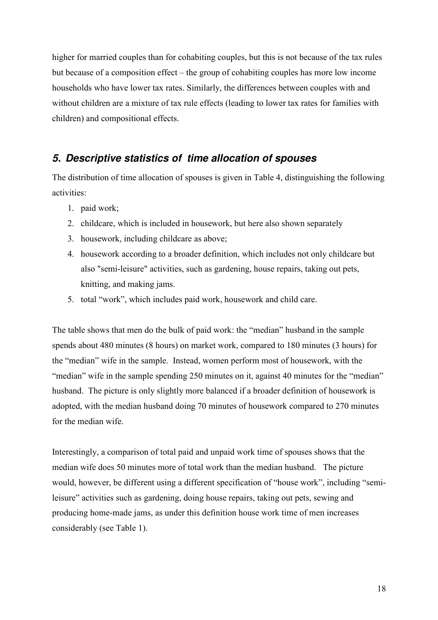higher for married couples than for cohabiting couples, but this is not because of the tax rules but because of a composition effect – the group of cohabiting couples has more low income households who have lower tax rates. Similarly, the differences between couples with and without children are a mixture of tax rule effects (leading to lower tax rates for families with children) and compositional effects.

# **5. Descriptive statistics of time allocation of spouses**

The distribution of time allocation of spouses is given in Table 4, distinguishing the following activities:

- 1. paid work;
- 2. childcare, which is included in housework, but here also shown separately
- 3. housework, including childcare as above;
- 4. housework according to a broader definition, which includes not only childcare but also "semi-leisure" activities, such as gardening, house repairs, taking out pets, knitting, and making jams.
- 5. total "work", which includes paid work, housework and child care.

The table shows that men do the bulk of paid work: the "median" husband in the sample spends about 480 minutes (8 hours) on market work, compared to 180 minutes (3 hours) for the "median" wife in the sample. Instead, women perform most of housework, with the "median" wife in the sample spending 250 minutes on it, against 40 minutes for the "median" husband. The picture is only slightly more balanced if a broader definition of housework is adopted, with the median husband doing 70 minutes of housework compared to 270 minutes for the median wife.

Interestingly, a comparison of total paid and unpaid work time of spouses shows that the median wife does 50 minutes more of total work than the median husband. The picture would, however, be different using a different specification of "house work", including "semileisure" activities such as gardening, doing house repairs, taking out pets, sewing and producing home-made jams, as under this definition house work time of men increases considerably (see Table 1).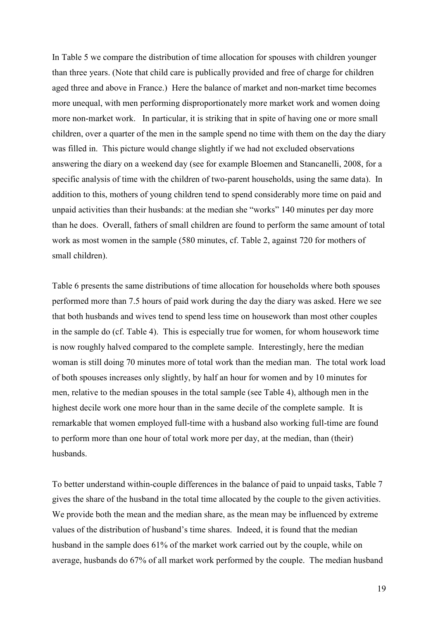In Table 5 we compare the distribution of time allocation for spouses with children younger than three years. (Note that child care is publically provided and free of charge for children aged three and above in France.) Here the balance of market and non-market time becomes more unequal, with men performing disproportionately more market work and women doing more non-market work. In particular, it is striking that in spite of having one or more small children, over a quarter of the men in the sample spend no time with them on the day the diary was filled in. This picture would change slightly if we had not excluded observations answering the diary on a weekend day (see for example Bloemen and Stancanelli, 2008, for a specific analysis of time with the children of two-parent households, using the same data). In addition to this, mothers of young children tend to spend considerably more time on paid and unpaid activities than their husbands: at the median she "works" 140 minutes per day more than he does. Overall, fathers of small children are found to perform the same amount of total work as most women in the sample (580 minutes, cf. Table 2, against 720 for mothers of small children).

Table 6 presents the same distributions of time allocation for households where both spouses performed more than 7.5 hours of paid work during the day the diary was asked. Here we see that both husbands and wives tend to spend less time on housework than most other couples in the sample do (cf. Table 4). This is especially true for women, for whom housework time is now roughly halved compared to the complete sample. Interestingly, here the median woman is still doing 70 minutes more of total work than the median man. The total work load of both spouses increases only slightly, by half an hour for women and by 10 minutes for men, relative to the median spouses in the total sample (see Table 4), although men in the highest decile work one more hour than in the same decile of the complete sample. It is remarkable that women employed full-time with a husband also working full-time are found to perform more than one hour of total work more per day, at the median, than (their) husbands.

To better understand within-couple differences in the balance of paid to unpaid tasks, Table 7 gives the share of the husband in the total time allocated by the couple to the given activities. We provide both the mean and the median share, as the mean may be influenced by extreme values of the distribution of husband's time shares. Indeed, it is found that the median husband in the sample does 61% of the market work carried out by the couple, while on average, husbands do 67% of all market work performed by the couple. The median husband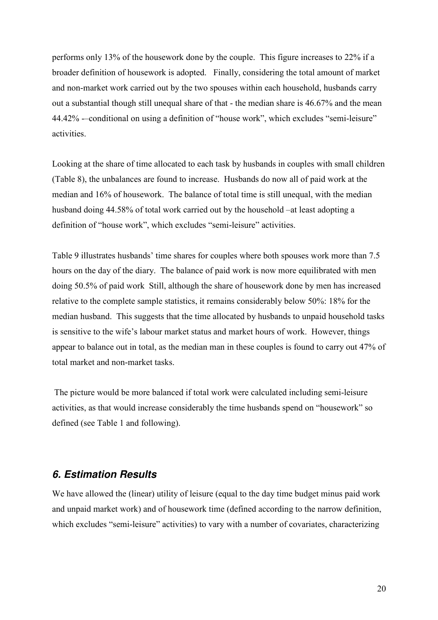performs only 13% of the housework done by the couple. This figure increases to 22% if a broader definition of housework is adopted. Finally, considering the total amount of market and non-market work carried out by the two spouses within each household, husbands carry out a substantial though still unequal share of that - the median share is 46.67% and the mean 44.42% -–conditional on using a definition of "house work", which excludes "semi-leisure" activities.

Looking at the share of time allocated to each task by husbands in couples with small children (Table 8), the unbalances are found to increase. Husbands do now all of paid work at the median and 16% of housework. The balance of total time is still unequal, with the median husband doing 44.58% of total work carried out by the household –at least adopting a definition of "house work", which excludes "semi-leisure" activities.

Table 9 illustrates husbands' time shares for couples where both spouses work more than 7.5 hours on the day of the diary. The balance of paid work is now more equilibrated with men doing 50.5% of paid work Still, although the share of housework done by men has increased relative to the complete sample statistics, it remains considerably below 50%: 18% for the median husband. This suggests that the time allocated by husbands to unpaid household tasks is sensitive to the wife's labour market status and market hours of work. However, things appear to balance out in total, as the median man in these couples is found to carry out 47% of total market and non-market tasks.

 The picture would be more balanced if total work were calculated including semi-leisure activities, as that would increase considerably the time husbands spend on "housework" so defined (see Table 1 and following).

# **6. Estimation Results**

We have allowed the (linear) utility of leisure (equal to the day time budget minus paid work and unpaid market work) and of housework time (defined according to the narrow definition, which excludes "semi-leisure" activities) to vary with a number of covariates, characterizing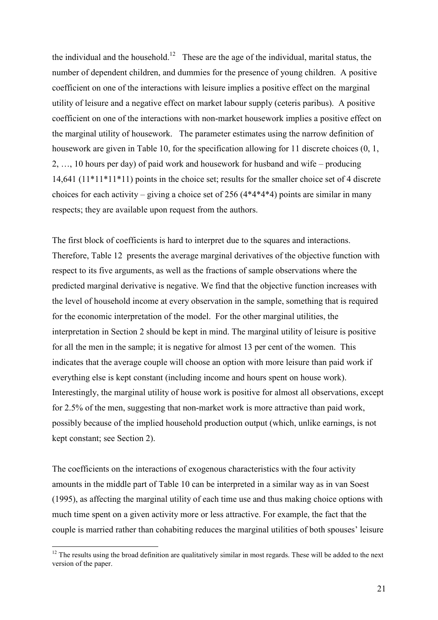the individual and the household.<sup>12</sup> These are the age of the individual, marital status, the number of dependent children, and dummies for the presence of young children. A positive coefficient on one of the interactions with leisure implies a positive effect on the marginal utility of leisure and a negative effect on market labour supply (ceteris paribus). A positive coefficient on one of the interactions with non-market housework implies a positive effect on the marginal utility of housework. The parameter estimates using the narrow definition of housework are given in Table 10, for the specification allowing for 11 discrete choices  $(0, 1, 1)$ 2, …, 10 hours per day) of paid work and housework for husband and wife – producing 14,641 (11\*11\*11\*11) points in the choice set; results for the smaller choice set of 4 discrete choices for each activity – giving a choice set of 256  $(4*4*4*4)$  points are similar in many respects; they are available upon request from the authors.

The first block of coefficients is hard to interpret due to the squares and interactions. Therefore, Table 12 presents the average marginal derivatives of the objective function with respect to its five arguments, as well as the fractions of sample observations where the predicted marginal derivative is negative. We find that the objective function increases with the level of household income at every observation in the sample, something that is required for the economic interpretation of the model. For the other marginal utilities, the interpretation in Section 2 should be kept in mind. The marginal utility of leisure is positive for all the men in the sample; it is negative for almost 13 per cent of the women. This indicates that the average couple will choose an option with more leisure than paid work if everything else is kept constant (including income and hours spent on house work). Interestingly, the marginal utility of house work is positive for almost all observations, except for 2.5% of the men, suggesting that non-market work is more attractive than paid work, possibly because of the implied household production output (which, unlike earnings, is not kept constant; see Section 2).

The coefficients on the interactions of exogenous characteristics with the four activity amounts in the middle part of Table 10 can be interpreted in a similar way as in van Soest (1995), as affecting the marginal utility of each time use and thus making choice options with much time spent on a given activity more or less attractive. For example, the fact that the couple is married rather than cohabiting reduces the marginal utilities of both spouses' leisure

 $\overline{a}$ 

 $12$  The results using the broad definition are qualitatively similar in most regards. These will be added to the next version of the paper.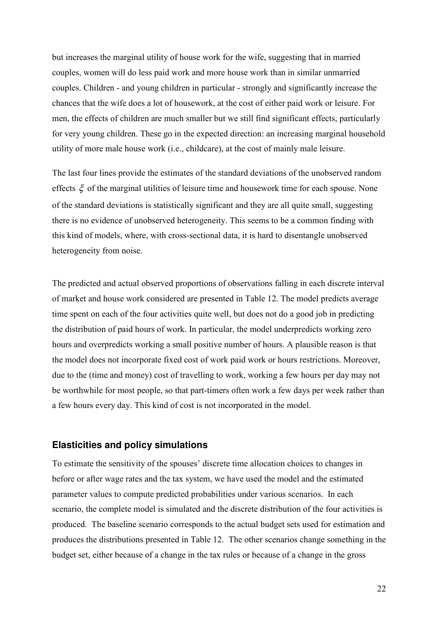but increases the marginal utility of house work for the wife, suggesting that in married couples, women will do less paid work and more house work than in similar unmarried couples. Children - and young children in particular - strongly and significantly increase the chances that the wife does a lot of housework, at the cost of either paid work or leisure. For men, the effects of children are much smaller but we still find significant effects, particularly for very young children. These go in the expected direction: an increasing marginal household utility of more male house work (i.e., childcare), at the cost of mainly male leisure.

The last four lines provide the estimates of the standard deviations of the unobserved random effects  $\xi$  of the marginal utilities of leisure time and housework time for each spouse. None of the standard deviations is statistically significant and they are all quite small, suggesting there is no evidence of unobserved heterogeneity. This seems to be a common finding with this kind of models, where, with cross-sectional data, it is hard to disentangle unobserved heterogeneity from noise.

The predicted and actual observed proportions of observations falling in each discrete interval of market and house work considered are presented in Table 12. The model predicts average time spent on each of the four activities quite well, but does not do a good job in predicting the distribution of paid hours of work. In particular, the model underpredicts working zero hours and overpredicts working a small positive number of hours. A plausible reason is that the model does not incorporate fixed cost of work paid work or hours restrictions. Moreover, due to the (time and money) cost of travelling to work, working a few hours per day may not be worthwhile for most people, so that part-timers often work a few days per week rather than a few hours every day. This kind of cost is not incorporated in the model.

#### **Elasticities and policy simulations**

To estimate the sensitivity of the spouses' discrete time allocation choices to changes in before or after wage rates and the tax system, we have used the model and the estimated parameter values to compute predicted probabilities under various scenarios. In each scenario, the complete model is simulated and the discrete distribution of the four activities is produced. The baseline scenario corresponds to the actual budget sets used for estimation and produces the distributions presented in Table 12. The other scenarios change something in the budget set, either because of a change in the tax rules or because of a change in the gross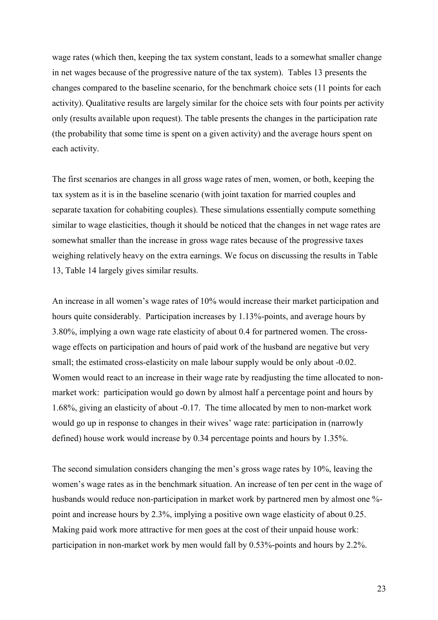wage rates (which then, keeping the tax system constant, leads to a somewhat smaller change in net wages because of the progressive nature of the tax system). Tables 13 presents the changes compared to the baseline scenario, for the benchmark choice sets (11 points for each activity). Qualitative results are largely similar for the choice sets with four points per activity only (results available upon request). The table presents the changes in the participation rate (the probability that some time is spent on a given activity) and the average hours spent on each activity.

The first scenarios are changes in all gross wage rates of men, women, or both, keeping the tax system as it is in the baseline scenario (with joint taxation for married couples and separate taxation for cohabiting couples). These simulations essentially compute something similar to wage elasticities, though it should be noticed that the changes in net wage rates are somewhat smaller than the increase in gross wage rates because of the progressive taxes weighing relatively heavy on the extra earnings. We focus on discussing the results in Table 13, Table 14 largely gives similar results.

An increase in all women's wage rates of 10% would increase their market participation and hours quite considerably. Participation increases by 1.13%-points, and average hours by 3.80%, implying a own wage rate elasticity of about 0.4 for partnered women. The crosswage effects on participation and hours of paid work of the husband are negative but very small; the estimated cross-elasticity on male labour supply would be only about -0.02. Women would react to an increase in their wage rate by readjusting the time allocated to nonmarket work: participation would go down by almost half a percentage point and hours by 1.68%, giving an elasticity of about -0.17. The time allocated by men to non-market work would go up in response to changes in their wives' wage rate: participation in (narrowly defined) house work would increase by 0.34 percentage points and hours by 1.35%.

The second simulation considers changing the men's gross wage rates by 10%, leaving the women's wage rates as in the benchmark situation. An increase of ten per cent in the wage of husbands would reduce non-participation in market work by partnered men by almost one % point and increase hours by 2.3%, implying a positive own wage elasticity of about 0.25. Making paid work more attractive for men goes at the cost of their unpaid house work: participation in non-market work by men would fall by 0.53%-points and hours by 2.2%.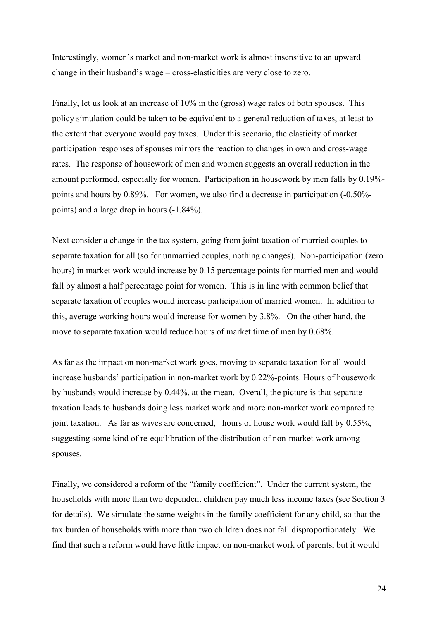Interestingly, women's market and non-market work is almost insensitive to an upward change in their husband's wage – cross-elasticities are very close to zero.

Finally, let us look at an increase of 10% in the (gross) wage rates of both spouses. This policy simulation could be taken to be equivalent to a general reduction of taxes, at least to the extent that everyone would pay taxes. Under this scenario, the elasticity of market participation responses of spouses mirrors the reaction to changes in own and cross-wage rates. The response of housework of men and women suggests an overall reduction in the amount performed, especially for women. Participation in housework by men falls by 0.19% points and hours by 0.89%. For women, we also find a decrease in participation (-0.50% points) and a large drop in hours (-1.84%).

Next consider a change in the tax system, going from joint taxation of married couples to separate taxation for all (so for unmarried couples, nothing changes). Non-participation (zero hours) in market work would increase by 0.15 percentage points for married men and would fall by almost a half percentage point for women. This is in line with common belief that separate taxation of couples would increase participation of married women. In addition to this, average working hours would increase for women by 3.8%. On the other hand, the move to separate taxation would reduce hours of market time of men by 0.68%.

As far as the impact on non-market work goes, moving to separate taxation for all would increase husbands' participation in non-market work by 0.22%-points. Hours of housework by husbands would increase by 0.44%, at the mean. Overall, the picture is that separate taxation leads to husbands doing less market work and more non-market work compared to joint taxation. As far as wives are concerned, hours of house work would fall by 0.55%, suggesting some kind of re-equilibration of the distribution of non-market work among spouses.

Finally, we considered a reform of the "family coefficient". Under the current system, the households with more than two dependent children pay much less income taxes (see Section 3 for details). We simulate the same weights in the family coefficient for any child, so that the tax burden of households with more than two children does not fall disproportionately. We find that such a reform would have little impact on non-market work of parents, but it would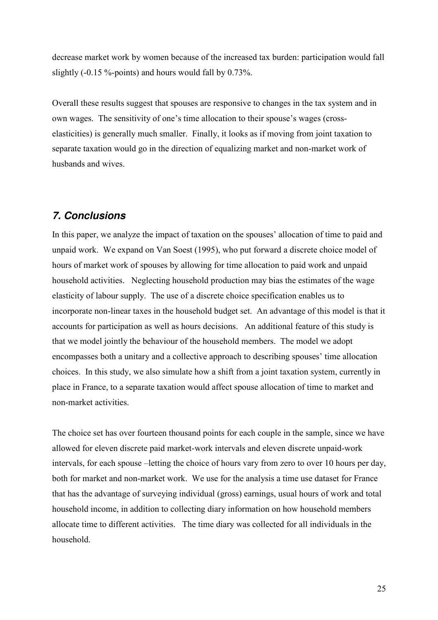decrease market work by women because of the increased tax burden: participation would fall slightly (-0.15 %-points) and hours would fall by 0.73%.

Overall these results suggest that spouses are responsive to changes in the tax system and in own wages. The sensitivity of one's time allocation to their spouse's wages (crosselasticities) is generally much smaller. Finally, it looks as if moving from joint taxation to separate taxation would go in the direction of equalizing market and non-market work of husbands and wives.

# **7. Conclusions**

In this paper, we analyze the impact of taxation on the spouses' allocation of time to paid and unpaid work. We expand on Van Soest (1995), who put forward a discrete choice model of hours of market work of spouses by allowing for time allocation to paid work and unpaid household activities. Neglecting household production may bias the estimates of the wage elasticity of labour supply. The use of a discrete choice specification enables us to incorporate non-linear taxes in the household budget set. An advantage of this model is that it accounts for participation as well as hours decisions. An additional feature of this study is that we model jointly the behaviour of the household members. The model we adopt encompasses both a unitary and a collective approach to describing spouses' time allocation choices. In this study, we also simulate how a shift from a joint taxation system, currently in place in France, to a separate taxation would affect spouse allocation of time to market and non-market activities.

The choice set has over fourteen thousand points for each couple in the sample, since we have allowed for eleven discrete paid market-work intervals and eleven discrete unpaid-work intervals, for each spouse –letting the choice of hours vary from zero to over 10 hours per day, both for market and non-market work. We use for the analysis a time use dataset for France that has the advantage of surveying individual (gross) earnings, usual hours of work and total household income, in addition to collecting diary information on how household members allocate time to different activities. The time diary was collected for all individuals in the household.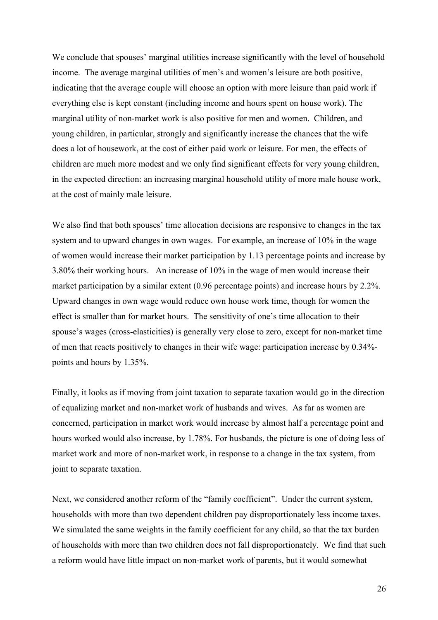We conclude that spouses' marginal utilities increase significantly with the level of household income. The average marginal utilities of men's and women's leisure are both positive, indicating that the average couple will choose an option with more leisure than paid work if everything else is kept constant (including income and hours spent on house work). The marginal utility of non-market work is also positive for men and women. Children, and young children, in particular, strongly and significantly increase the chances that the wife does a lot of housework, at the cost of either paid work or leisure. For men, the effects of children are much more modest and we only find significant effects for very young children, in the expected direction: an increasing marginal household utility of more male house work, at the cost of mainly male leisure.

We also find that both spouses' time allocation decisions are responsive to changes in the tax system and to upward changes in own wages. For example, an increase of 10% in the wage of women would increase their market participation by 1.13 percentage points and increase by 3.80% their working hours. An increase of 10% in the wage of men would increase their market participation by a similar extent (0.96 percentage points) and increase hours by 2.2%. Upward changes in own wage would reduce own house work time, though for women the effect is smaller than for market hours. The sensitivity of one's time allocation to their spouse's wages (cross-elasticities) is generally very close to zero, except for non-market time of men that reacts positively to changes in their wife wage: participation increase by 0.34% points and hours by 1.35%.

Finally, it looks as if moving from joint taxation to separate taxation would go in the direction of equalizing market and non-market work of husbands and wives. As far as women are concerned, participation in market work would increase by almost half a percentage point and hours worked would also increase, by 1.78%. For husbands, the picture is one of doing less of market work and more of non-market work, in response to a change in the tax system, from joint to separate taxation.

Next, we considered another reform of the "family coefficient". Under the current system, households with more than two dependent children pay disproportionately less income taxes. We simulated the same weights in the family coefficient for any child, so that the tax burden of households with more than two children does not fall disproportionately. We find that such a reform would have little impact on non-market work of parents, but it would somewhat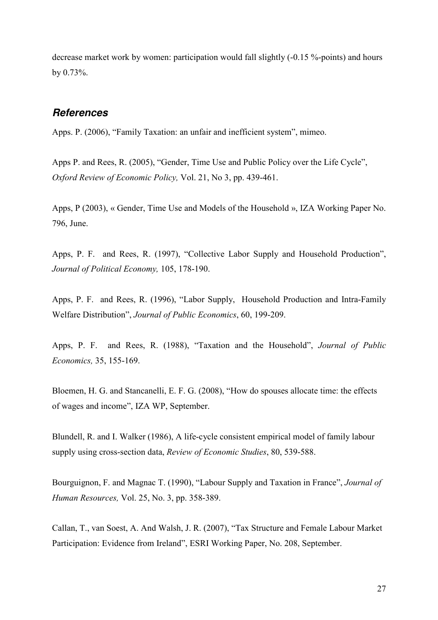decrease market work by women: participation would fall slightly (-0.15 %-points) and hours by 0.73%.

#### **References**

Apps. P. (2006), "Family Taxation: an unfair and inefficient system", mimeo.

Apps P. and Rees, R. (2005), "Gender, Time Use and Public Policy over the Life Cycle", Oxford Review of Economic Policy, Vol. 21, No 3, pp. 439-461.

Apps, P (2003), « Gender, Time Use and Models of the Household », IZA Working Paper No. 796, June.

Apps, P. F. and Rees, R. (1997), "Collective Labor Supply and Household Production", Journal of Political Economy, 105, 178-190.

Apps, P. F. and Rees, R. (1996), "Labor Supply, Household Production and Intra-Family Welfare Distribution", Journal of Public Economics, 60, 199-209.

Apps, P. F. and Rees, R. (1988), "Taxation and the Household", Journal of Public Economics, 35, 155-169.

Bloemen, H. G. and Stancanelli, E. F. G. (2008), "How do spouses allocate time: the effects of wages and income", IZA WP, September.

Blundell, R. and I. Walker (1986), A life-cycle consistent empirical model of family labour supply using cross-section data, Review of Economic Studies, 80, 539-588.

Bourguignon, F. and Magnac T. (1990), "Labour Supply and Taxation in France", Journal of Human Resources, Vol. 25, No. 3, pp. 358-389.

Callan, T., van Soest, A. And Walsh, J. R. (2007), "Tax Structure and Female Labour Market Participation: Evidence from Ireland", ESRI Working Paper, No. 208, September.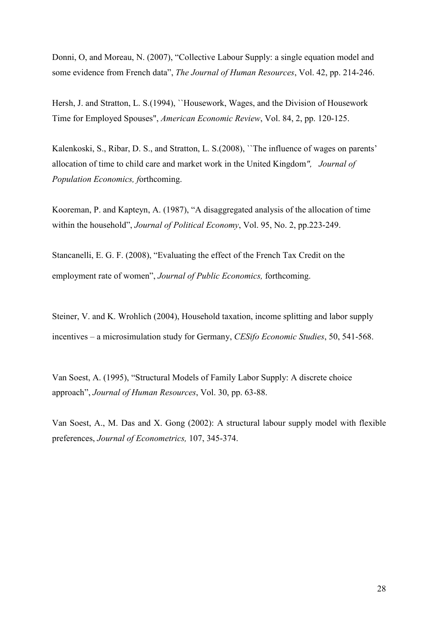Donni, O, and Moreau, N. (2007), "Collective Labour Supply: a single equation model and some evidence from French data", The Journal of Human Resources, Vol. 42, pp. 214-246.

Hersh, J. and Stratton, L. S.(1994), ``Housework, Wages, and the Division of Housework Time for Employed Spouses", American Economic Review, Vol. 84, 2, pp. 120-125.

Kalenkoski, S., Ribar, D. S., and Stratton, L. S. (2008), "The influence of wages on parents' allocation of time to child care and market work in the United Kingdom", Journal of Population Economics, forthcoming.

Kooreman, P. and Kapteyn, A. (1987), "A disaggregated analysis of the allocation of time within the household", *Journal of Political Economy*, Vol. 95, No. 2, pp.223-249.

Stancanelli, E. G. F. (2008), "Evaluating the effect of the French Tax Credit on the employment rate of women", Journal of Public Economics, forthcoming.

Steiner, V. and K. Wrohlich (2004), Household taxation, income splitting and labor supply incentives – a microsimulation study for Germany, CESifo Economic Studies, 50, 541-568.

Van Soest, A. (1995), "Structural Models of Family Labor Supply: A discrete choice approach", Journal of Human Resources, Vol. 30, pp. 63-88.

Van Soest, A., M. Das and X. Gong (2002): A structural labour supply model with flexible preferences, Journal of Econometrics, 107, 345-374.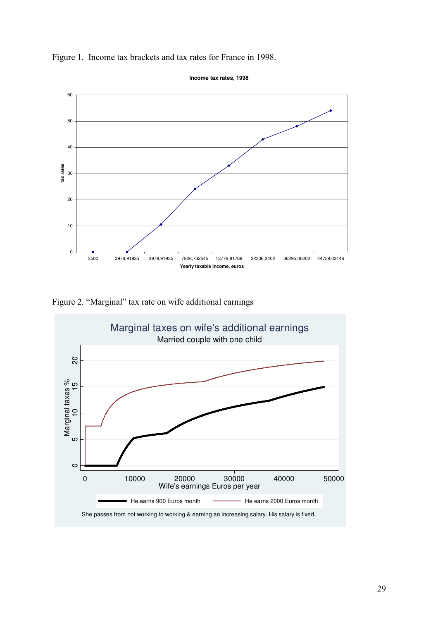

**Income tax rates, 1998**



Figure 2. "Marginal" tax rate on wife additional earnings

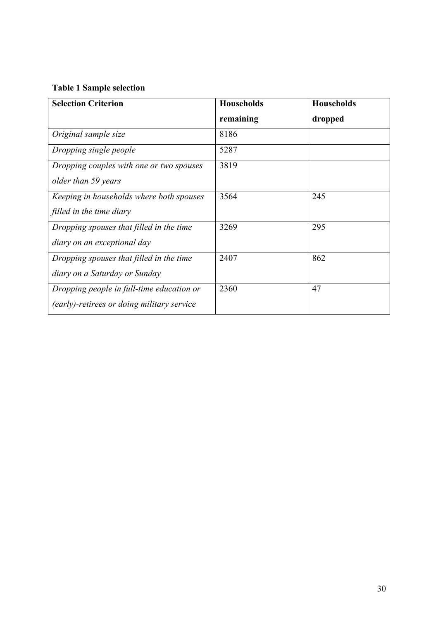# Table 1 Sample selection

| <b>Selection Criterion</b>                 | <b>Households</b> | <b>Households</b> |
|--------------------------------------------|-------------------|-------------------|
|                                            | remaining         | dropped           |
| Original sample size                       | 8186              |                   |
| Dropping single people                     | 5287              |                   |
| Dropping couples with one or two spouses   | 3819              |                   |
| older than 59 years                        |                   |                   |
| Keeping in households where both spouses   | 3564              | 245               |
| filled in the time diary                   |                   |                   |
| Dropping spouses that filled in the time   | 3269              | 295               |
| diary on an exceptional day                |                   |                   |
| Dropping spouses that filled in the time   | 2407              | 862               |
| diary on a Saturday or Sunday              |                   |                   |
| Dropping people in full-time education or  | 2360              | 47                |
| (early)-retirees or doing military service |                   |                   |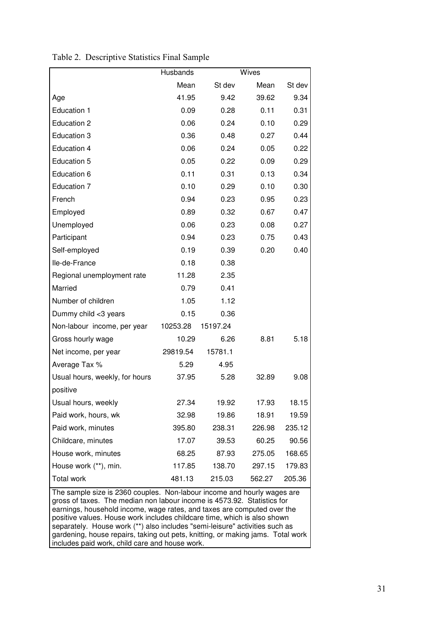|                                                             | Husbands |          | Wives  |        |
|-------------------------------------------------------------|----------|----------|--------|--------|
|                                                             | Mean     | St dev   | Mean   | St dev |
| Age                                                         | 41.95    | 9.42     | 39.62  | 9.34   |
| <b>Education 1</b>                                          | 0.09     | 0.28     | 0.11   | 0.31   |
| <b>Education 2</b>                                          | 0.06     | 0.24     | 0.10   | 0.29   |
| <b>Education 3</b>                                          | 0.36     | 0.48     | 0.27   | 0.44   |
| Education 4                                                 | 0.06     | 0.24     | 0.05   | 0.22   |
| <b>Education 5</b>                                          | 0.05     | 0.22     | 0.09   | 0.29   |
| Education 6                                                 | 0.11     | 0.31     | 0.13   | 0.34   |
| Education 7                                                 | 0.10     | 0.29     | 0.10   | 0.30   |
| French                                                      | 0.94     | 0.23     | 0.95   | 0.23   |
| Employed                                                    | 0.89     | 0.32     | 0.67   | 0.47   |
| Unemployed                                                  | 0.06     | 0.23     | 0.08   | 0.27   |
| Participant                                                 | 0.94     | 0.23     | 0.75   | 0.43   |
| Self-employed                                               | 0.19     | 0.39     | 0.20   | 0.40   |
| Ile-de-France                                               | 0.18     | 0.38     |        |        |
| Regional unemployment rate                                  | 11.28    | 2.35     |        |        |
| Married                                                     | 0.79     | 0.41     |        |        |
| Number of children                                          | 1.05     | 1.12     |        |        |
| Dummy child <3 years                                        | 0.15     | 0.36     |        |        |
| Non-labour income, per year                                 | 10253.28 | 15197.24 |        |        |
| Gross hourly wage                                           | 10.29    | 6.26     | 8.81   | 5.18   |
| Net income, per year                                        | 29819.54 | 15781.1  |        |        |
| Average Tax %                                               | 5.29     | 4.95     |        |        |
| Usual hours, weekly, for hours                              | 37.95    | 5.28     | 32.89  | 9.08   |
| positive                                                    |          |          |        |        |
| Usual hours, weekly                                         | 27.34    | 19.92    | 17.93  | 18.15  |
| Paid work, hours, wk                                        | 32.98    | 19.86    | 18.91  | 19.59  |
| Paid work, minutes                                          | 395.80   | 238.31   | 226.98 | 235.12 |
| Childcare, minutes                                          | 17.07    | 39.53    | 60.25  | 90.56  |
| House work, minutes                                         | 68.25    | 87.93    | 275.05 | 168.65 |
| House work (**), min.                                       | 117.85   | 138.70   | 297.15 | 179.83 |
| Total work<br>comple aire in 2260 seuples. Non lobour incom | 481.13   | 215.03   | 562.27 | 205.36 |

Table 2. Descriptive Statistics Final Sample

The sample size is 2360 couples. Non-labour income and hourly wages are gross of taxes. The median non labour income is 4573.92. Statistics for earnings, household income, wage rates, and taxes are computed over the positive values. House work includes childcare time, which is also shown separately. House work (\*\*) also includes "semi-leisure" activities such as gardening, house repairs, taking out pets, knitting, or making jams. Total work includes paid work, child care and house work.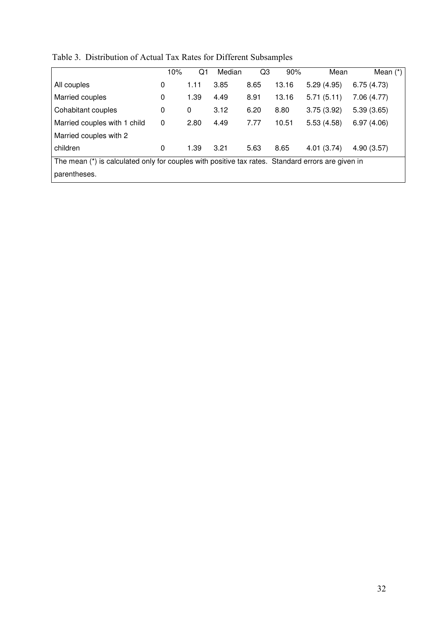| Table 3. Distribution of Actual Tax Rates for Different Subsamples |  |  |  |
|--------------------------------------------------------------------|--|--|--|
|--------------------------------------------------------------------|--|--|--|

|                                                                                                   | 10% | Q1   | Median | Q3   | 90%   | Mean       | Mean $(*)$ |
|---------------------------------------------------------------------------------------------------|-----|------|--------|------|-------|------------|------------|
| All couples                                                                                       | 0   | 1.11 | 3.85   | 8.65 | 13.16 | 5.29(4.95) | 6.75(4.73) |
| Married couples                                                                                   | 0   | 1.39 | 4.49   | 8.91 | 13.16 | 5.71(5.11) | 7.06(4.77) |
| Cohabitant couples                                                                                | 0   | 0    | 3.12   | 6.20 | 8.80  | 3.75(3.92) | 5.39(3.65) |
| Married couples with 1 child                                                                      | 0   | 2.80 | 4.49   | 7.77 | 10.51 | 5.53(4.58) | 6.97(4.06) |
| Married couples with 2                                                                            |     |      |        |      |       |            |            |
| children                                                                                          | 0   | 1.39 | 3.21   | 5.63 | 8.65  | 4.01(3.74) | 4.90(3.57) |
| The mean (*) is calculated only for couples with positive tax rates. Standard errors are given in |     |      |        |      |       |            |            |
| parentheses.                                                                                      |     |      |        |      |       |            |            |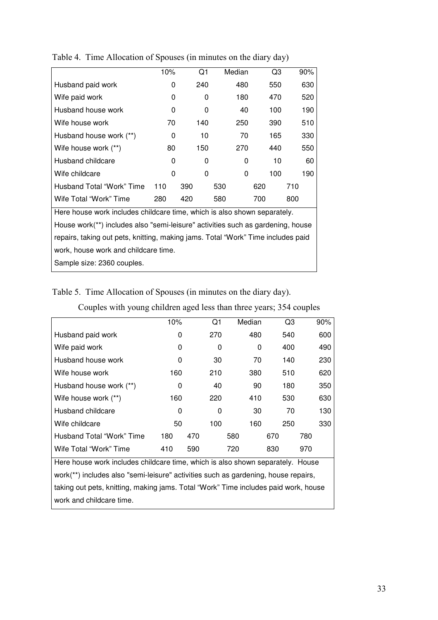|                                                                                  | 10% | Q1  | Median | Q3  | 90% |  |  |  |
|----------------------------------------------------------------------------------|-----|-----|--------|-----|-----|--|--|--|
| Husband paid work                                                                | 0   | 240 | 480    | 550 | 630 |  |  |  |
| Wife paid work                                                                   | 0   | 0   | 180    | 470 | 520 |  |  |  |
| Husband house work                                                               | 0   | 0   | 40     | 100 | 190 |  |  |  |
| Wife house work                                                                  | 70  | 140 | 250    | 390 | 510 |  |  |  |
| Husband house work (**)                                                          | 0   | 10  | 70     | 165 | 330 |  |  |  |
| Wife house work (**)                                                             | 80  | 150 | 270    | 440 | 550 |  |  |  |
| Husband childcare                                                                | 0   | 0   | 0      | 10  | 60  |  |  |  |
| Wife childcare                                                                   | 0   | 0   | 0      | 100 | 190 |  |  |  |
| Husband Total "Work" Time                                                        | 110 | 390 | 530    | 620 | 710 |  |  |  |
| Wife Total "Work" Time                                                           | 280 | 420 | 580    | 700 | 800 |  |  |  |
| Here house work includes childcare time, which is also shown separately.         |     |     |        |     |     |  |  |  |
| House work(**) includes also "semi-leisure" activities such as gardening, house  |     |     |        |     |     |  |  |  |
| repairs, taking out pets, knitting, making jams. Total "Work" Time includes paid |     |     |        |     |     |  |  |  |
| work, house work and childcare time.                                             |     |     |        |     |     |  |  |  |
| Sample size: 2360 couples.                                                       |     |     |        |     |     |  |  |  |

Table 4. Time Allocation of Spouses (in minutes on the diary day)

# Table 5. Time Allocation of Spouses (in minutes on the diary day).

|                                                                                    | 10% |     | Q1  | Median | Q3  | 90% |  |  |
|------------------------------------------------------------------------------------|-----|-----|-----|--------|-----|-----|--|--|
| Husband paid work                                                                  | 0   |     | 270 | 480    | 540 | 600 |  |  |
| Wife paid work                                                                     | 0   |     | 0   | 0      | 400 | 490 |  |  |
| Husband house work                                                                 | 0   |     | 30  | 70     | 140 | 230 |  |  |
| Wife house work                                                                    | 160 |     | 210 | 380    | 510 | 620 |  |  |
| Husband house work (**)                                                            | 0   |     | 40  | 90     | 180 | 350 |  |  |
| Wife house work (**)                                                               | 160 |     | 220 | 410    | 530 | 630 |  |  |
| Husband childcare                                                                  | 0   |     | 0   | 30     | 70  | 130 |  |  |
| Wife childcare                                                                     | 50  |     | 100 | 160    | 250 | 330 |  |  |
| Husband Total "Work" Time                                                          | 180 | 470 |     | 580    | 670 | 780 |  |  |
| Wife Total "Work" Time                                                             | 410 | 590 |     | 720    | 830 | 970 |  |  |
| Here house work includes childcare time, which is also shown separately. House     |     |     |     |        |     |     |  |  |
| work(**) includes also "semi-leisure" activities such as gardening, house repairs, |     |     |     |        |     |     |  |  |

Couples with young children aged less than three years; 354 couples

taking out pets, knitting, making jams. Total "Work" Time includes paid work, house work and childcare time.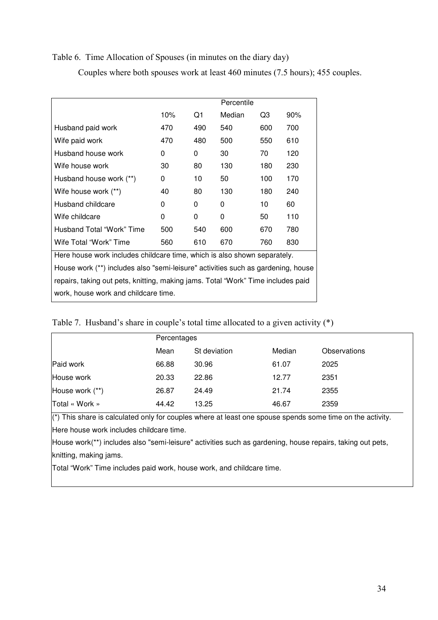# Table 6. Time Allocation of Spouses (in minutes on the diary day)

Couples where both spouses work at least 460 minutes (7.5 hours); 455 couples.

|                                                                                  |                                                                                  |     | Percentile |     |     |  |  |  |
|----------------------------------------------------------------------------------|----------------------------------------------------------------------------------|-----|------------|-----|-----|--|--|--|
|                                                                                  | 10%                                                                              | Q1  | Median     | Q3  | 90% |  |  |  |
| Husband paid work                                                                | 470                                                                              | 490 | 540        | 600 | 700 |  |  |  |
| Wife paid work                                                                   | 470                                                                              | 480 | 500        | 550 | 610 |  |  |  |
| Husband house work                                                               | 0                                                                                | 0   | 30         | 70  | 120 |  |  |  |
| Wife house work                                                                  | 30                                                                               | 80  | 130        | 180 | 230 |  |  |  |
| Husband house work (**)                                                          | 0                                                                                | 10  | 50         | 100 | 170 |  |  |  |
| Wife house work (**)                                                             | 40                                                                               | 80  | 130        | 180 | 240 |  |  |  |
| Husband childcare                                                                | 0                                                                                | 0   | 0          | 10  | 60  |  |  |  |
| Wife childcare                                                                   | 0                                                                                | 0   | 0          | 50  | 110 |  |  |  |
| Husband Total "Work" Time                                                        | 500                                                                              | 540 | 600        | 670 | 780 |  |  |  |
| Wife Total "Work" Time                                                           | 560                                                                              | 610 | 670        | 760 | 830 |  |  |  |
| Here house work includes childcare time, which is also shown separately.         |                                                                                  |     |            |     |     |  |  |  |
| House work (**) includes also "semi-leisure" activities such as gardening, house |                                                                                  |     |            |     |     |  |  |  |
|                                                                                  | repairs, taking out pets, knitting, making jams. Total "Work" Time includes paid |     |            |     |     |  |  |  |
| work, house work and childcare time.                                             |                                                                                  |     |            |     |     |  |  |  |

|                 | Percentages |              |        |              |  |  |
|-----------------|-------------|--------------|--------|--------------|--|--|
|                 | Mean        | St deviation | Median | Observations |  |  |
| Paid work       | 66.88       | 30.96        | 61.07  | 2025         |  |  |
| House work      | 20.33       | 22.86        | 12.77  | 2351         |  |  |
| House work (**) | 26.87       | 24.49        | 21.74  | 2355         |  |  |
| Total « Work »  | 44.42       | 13.25        | 46.67  | 2359         |  |  |

 $(*)$  This share is calculated only for couples where at least one spouse spends some time on the activity. Here house work includes childcare time.

House work(\*\*) includes also "semi-leisure" activities such as gardening, house repairs, taking out pets, knitting, making jams.

Total "Work" Time includes paid work, house work, and childcare time.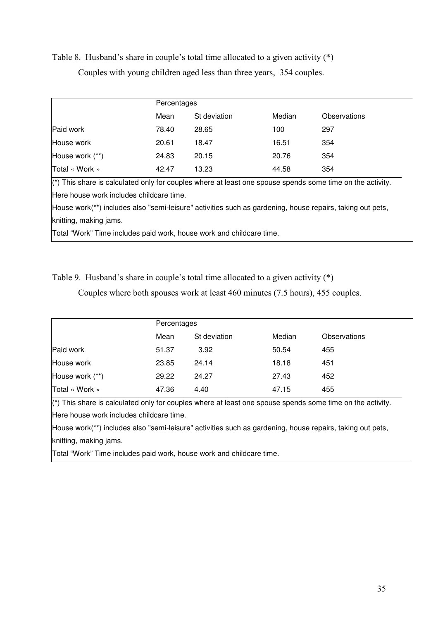Table 8. Husband's share in couple's total time allocated to a given activity (\*) Couples with young children aged less than three years, 354 couples.

|                 | Percentages |              |        |              |
|-----------------|-------------|--------------|--------|--------------|
|                 | Mean        | St deviation | Median | Observations |
| Paid work       | 78.40       | 28.65        | 100    | 297          |
| House work      | 20.61       | 18.47        | 16.51  | 354          |
| House work (**) | 24.83       | 20.15        | 20.76  | 354          |
| Total « Work »  | 42.47       | 13.23        | 44.58  | 354          |

Here house work includes childcare time.

House work(\*\*) includes also "semi-leisure" activities such as gardening, house repairs, taking out pets, knitting, making jams.

Total "Work" Time includes paid work, house work and childcare time.

Table 9. Husband's share in couple's total time allocated to a given activity (\*)

Couples where both spouses work at least 460 minutes (7.5 hours), 455 couples.

|                 | Percentages |              |        |              |
|-----------------|-------------|--------------|--------|--------------|
|                 | Mean        | St deviation | Median | Observations |
| Paid work       | 51.37       | 3.92         | 50.54  | 455          |
| House work      | 23.85       | 24.14        | 18.18  | 451          |
| House work (**) | 29.22       | 24.27        | 27.43  | 452          |
| Total « Work »  | 47.36       | 4.40         | 47.15  | 455          |

 $(*)$  This share is calculated only for couples where at least one spouse spends some time on the activity. Here house work includes childcare time.

House work(\*\*) includes also "semi-leisure" activities such as gardening, house repairs, taking out pets, knitting, making jams.

Total "Work" Time includes paid work, house work and childcare time.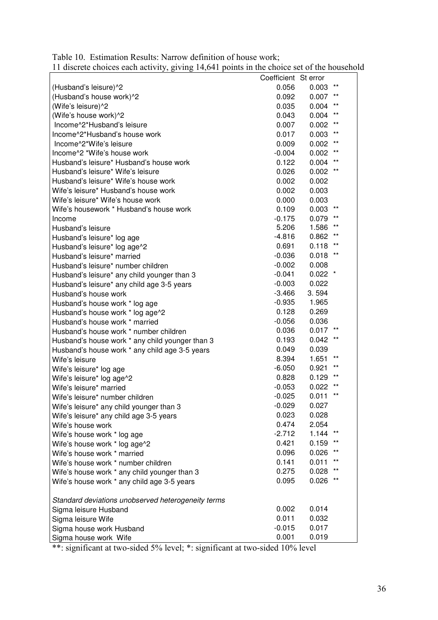|                                                    | Coefficient St error |           |                 |
|----------------------------------------------------|----------------------|-----------|-----------------|
| (Husband's leisure)^2                              | 0.056                | 0.003     | $***$           |
| (Husband's house work)^2                           | 0.092                | 0.007     | $***$           |
| (Wife's leisure)^2                                 | 0.035                | 0.004     | $***$           |
| (Wife's house work)^2                              | 0.043                | 0.004     | $***$           |
| Income^2*Husband's leisure                         | 0.007                | 0.002     | $***$           |
| Income^2*Husband's house work                      | 0.017                | 0.003     | $***$           |
| Income <sup>^2*</sup> Wife's leisure               | 0.009                | 0.002     | $***$           |
| Income^2 *Wife's house work                        | $-0.004$             | 0.002     | $***$           |
| Husband's leisure* Husband's house work            | 0.122                | 0.004     | $***$           |
| Husband's leisure* Wife's leisure                  | 0.026                | 0.002     | $***$           |
| Husband's leisure* Wife's house work               | 0.002                | 0.002     |                 |
| Wife's leisure* Husband's house work               | 0.002                | 0.003     |                 |
| Wife's leisure* Wife's house work                  | 0.000                | 0.003     |                 |
| Wife's housework * Husband's house work            | 0.109                | 0.003     | $***$           |
| Income                                             | $-0.175$             | 0.079     | $***$           |
| Husband's leisure                                  | 5.206                | 1.586     | $***$           |
| Husband's leisure* log age                         | $-4.816$             | 0.862     | $***$           |
| Husband's leisure* log age^2                       | 0.691                | 0.118     |                 |
| Husband's leisure* married                         | $-0.036$             | 0.018     | $***$           |
| Husband's leisure* number children                 | $-0.002$             | 0.008     |                 |
| Husband's leisure* any child younger than 3        | $-0.041$             | $0.022$ * |                 |
| Husband's leisure* any child age 3-5 years         | $-0.003$             | 0.022     |                 |
| Husband's house work                               | $-3.466$             | 3.594     |                 |
| Husband's house work * log age                     | $-0.935$             | 1.965     |                 |
| Husband's house work * log age^2                   | 0.128                | 0.269     |                 |
| Husband's house work * married                     | $-0.056$             | 0.036     |                 |
| Husband's house work * number children             | 0.036                | 0.017     |                 |
| Husband's house work * any child younger than 3    | 0.193                | 0.042     | $***$           |
| Husband's house work * any child age 3-5 years     | 0.049                | 0.039     |                 |
| Wife's leisure                                     | 8.394                | 1.651     | $***$           |
| Wife's leisure* log age                            | $-6.050$             | 0.921     | $***$           |
| Wife's leisure* log age^2                          | 0.828                | 0.129     | $***$           |
| Wife's leisure* married                            | $-0.053$             | 0.022     | $**$            |
| Wife's leisure* number children                    | $-0.025$             | 0.011     | $***$           |
| Wife's leisure* any child younger than 3           | $-0.029$             | 0.027     |                 |
| Wife's leisure* any child age 3-5 years            | 0.023                | 0.028     |                 |
| Wife's house work                                  | 0.474                | 2.054     |                 |
| Wife's house work * log age                        | $-2.712$             | 1.144     | $^{\star\star}$ |
| Wife's house work * log age^2                      | 0.421                | 0.159     | $***$           |
| Wife's house work * married                        | 0.096                | 0.026     | $***$           |
| Wife's house work * number children                | 0.141                | 0.011     | $***$           |
| Wife's house work * any child younger than 3       | 0.275                | 0.028     | $^{\star\star}$ |
| Wife's house work * any child age 3-5 years        | 0.095                | 0.026     | $^{\star\star}$ |
| Standard deviations unobserved heterogeneity terms |                      |           |                 |
| Sigma leisure Husband                              | 0.002                | 0.014     |                 |
| Sigma leisure Wife                                 | 0.011                | 0.032     |                 |
| Sigma house work Husband                           | $-0.015$             | 0.017     |                 |
| Sigma house work Wife                              | 0.001                | 0.019     |                 |

Table 10. Estimation Results: Narrow definition of house work; 11 discrete choices each activity, giving 14,641 points in the choice set of the household

\*\*: significant at two-sided 5% level; \*: significant at two-sided 10% level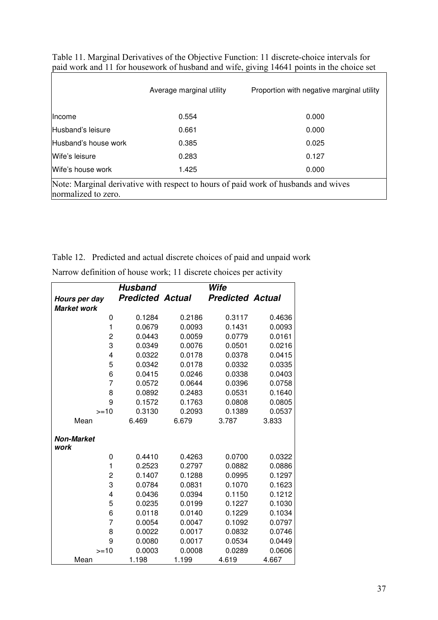|                                                                                                           | Average marginal utility | Proportion with negative marginal utility |  |  |  |  |
|-----------------------------------------------------------------------------------------------------------|--------------------------|-------------------------------------------|--|--|--|--|
| <b>Income</b>                                                                                             | 0.554                    | 0.000                                     |  |  |  |  |
| Husband's leisure                                                                                         | 0.661                    | 0.000                                     |  |  |  |  |
| Husband's house work                                                                                      | 0.385                    | 0.025                                     |  |  |  |  |
| Wife's leisure                                                                                            | 0.283                    | 0.127                                     |  |  |  |  |
| Wife's house work                                                                                         | 1.425                    | 0.000                                     |  |  |  |  |
| Note: Marginal derivative with respect to hours of paid work of husbands and wives<br>normalized to zero. |                          |                                           |  |  |  |  |

Table 11. Marginal Derivatives of the Objective Function: 11 discrete-choice intervals for paid work and 11 for housework of husband and wife, giving 14641 points in the choice set

Table 12. Predicted and actual discrete choices of paid and unpaid work

|                         | <b>Husband</b>          |        | Wife                    |        |
|-------------------------|-------------------------|--------|-------------------------|--------|
| Hours per day           | <b>Predicted Actual</b> |        | <b>Predicted Actual</b> |        |
| <b>Market work</b>      |                         |        |                         |        |
| 0                       | 0.1284                  | 0.2186 | 0.3117                  | 0.4636 |
| $\mathbf{1}$            | 0.0679                  | 0.0093 | 0.1431                  | 0.0093 |
| $\overline{c}$          | 0.0443                  | 0.0059 | 0.0779                  | 0.0161 |
| 3                       | 0.0349                  | 0.0076 | 0.0501                  | 0.0216 |
| 4                       | 0.0322                  | 0.0178 | 0.0378                  | 0.0415 |
| 5                       | 0.0342                  | 0.0178 | 0.0332                  | 0.0335 |
| 6                       | 0.0415                  | 0.0246 | 0.0338                  | 0.0403 |
| 7                       | 0.0572                  | 0.0644 | 0.0396                  | 0.0758 |
| 8                       | 0.0892                  | 0.2483 | 0.0531                  | 0.1640 |
| 9                       | 0.1572                  | 0.1763 | 0.0808                  | 0.0805 |
| $>=10$                  | 0.3130                  | 0.2093 | 0.1389                  | 0.0537 |
| Mean                    | 6.469                   | 6.679  | 3.787                   | 3.833  |
| <b>Non-Market</b>       |                         |        |                         |        |
| work                    |                         |        |                         |        |
| 0                       | 0.4410                  | 0.4263 | 0.0700                  | 0.0322 |
| 1                       | 0.2523                  | 0.2797 | 0.0882                  | 0.0886 |
| $\overline{c}$          | 0.1407                  | 0.1288 | 0.0995                  | 0.1297 |
| 3                       | 0.0784                  | 0.0831 | 0.1070                  | 0.1623 |
| $\overline{\mathbf{4}}$ | 0.0436                  | 0.0394 | 0.1150                  | 0.1212 |
| 5                       | 0.0235                  | 0.0199 | 0.1227                  | 0.1030 |
| 6                       | 0.0118                  | 0.0140 | 0.1229                  | 0.1034 |
| 7                       | 0.0054                  | 0.0047 | 0.1092                  | 0.0797 |
| 8                       | 0.0022                  | 0.0017 | 0.0832                  | 0.0746 |
| 9                       | 0.0080                  | 0.0017 | 0.0534                  | 0.0449 |
| $>=10$                  | 0.0003                  | 0.0008 | 0.0289                  | 0.0606 |
| Mean                    | 1.198                   | 1.199  | 4.619                   | 4.667  |

Narrow definition of house work; 11 discrete choices per activity